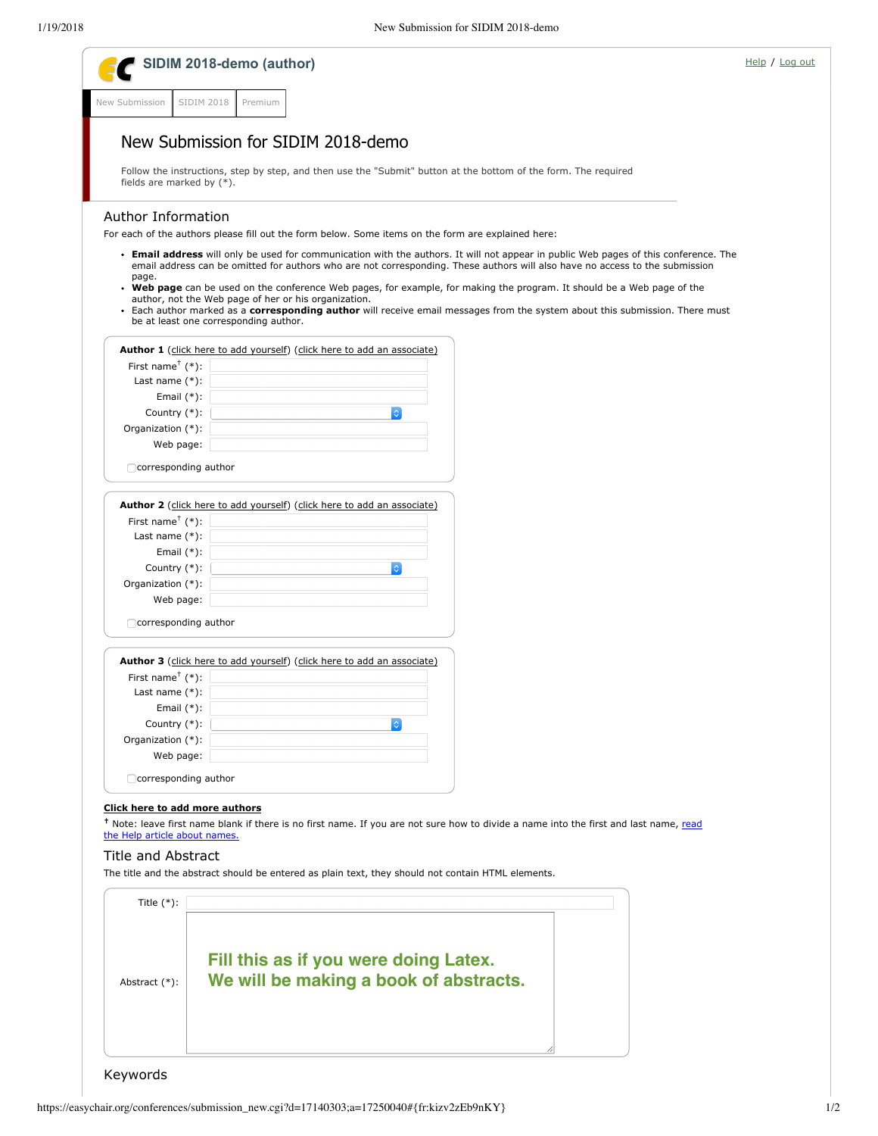|                                           | SIDIM 2018-demo (author)                                                                                                                                                                                                                                             | Help / Log out |
|-------------------------------------------|----------------------------------------------------------------------------------------------------------------------------------------------------------------------------------------------------------------------------------------------------------------------|----------------|
| New Submission                            | <b>SIDIM 2018</b><br>Premium                                                                                                                                                                                                                                         |                |
|                                           |                                                                                                                                                                                                                                                                      |                |
|                                           | New Submission for SIDIM 2018-demo                                                                                                                                                                                                                                   |                |
|                                           | Follow the instructions, step by step, and then use the "Submit" button at the bottom of the form. The required                                                                                                                                                      |                |
| fields are marked by $(*).$               |                                                                                                                                                                                                                                                                      |                |
| <b>Author Information</b>                 |                                                                                                                                                                                                                                                                      |                |
|                                           | For each of the authors please fill out the form below. Some items on the form are explained here:                                                                                                                                                                   |                |
|                                           | • Email address will only be used for communication with the authors. It will not appear in public Web pages of this conference. The<br>email address can be omitted for authors who are not corresponding. These authors will also have no access to the submission |                |
| page.                                     | • Web page can be used on the conference Web pages, for example, for making the program. It should be a Web page of the                                                                                                                                              |                |
|                                           | author, not the Web page of her or his organization.                                                                                                                                                                                                                 |                |
|                                           | • Each author marked as a corresponding author will receive email messages from the system about this submission. There must<br>be at least one corresponding author.                                                                                                |                |
|                                           |                                                                                                                                                                                                                                                                      |                |
|                                           | Author 1 (click here to add yourself) (click here to add an associate)                                                                                                                                                                                               |                |
| First name <sup><math>+</math></sup> (*): |                                                                                                                                                                                                                                                                      |                |
| Last name $(*)$ :                         |                                                                                                                                                                                                                                                                      |                |
| Email $(*)$ :                             |                                                                                                                                                                                                                                                                      |                |
| Country $(*)$ :                           | $\Diamond$                                                                                                                                                                                                                                                           |                |
| Organization (*):                         |                                                                                                                                                                                                                                                                      |                |
| Web page:                                 |                                                                                                                                                                                                                                                                      |                |
| $\Box$ corresponding author               |                                                                                                                                                                                                                                                                      |                |
|                                           |                                                                                                                                                                                                                                                                      |                |
|                                           | Author 2 (click here to add yourself) (click here to add an associate)                                                                                                                                                                                               |                |
| First name <sup><math>+</math></sup> (*): |                                                                                                                                                                                                                                                                      |                |
| Last name $(*)$ :                         |                                                                                                                                                                                                                                                                      |                |
| Email $(*)$ :                             |                                                                                                                                                                                                                                                                      |                |
| Country $(*)$ :                           | $ \diamond $                                                                                                                                                                                                                                                         |                |
| Organization (*):                         |                                                                                                                                                                                                                                                                      |                |
| Web page:                                 |                                                                                                                                                                                                                                                                      |                |
| $\Box$ corresponding author               |                                                                                                                                                                                                                                                                      |                |
|                                           |                                                                                                                                                                                                                                                                      |                |
|                                           | Author 3 (click here to add yourself) (click here to add an associate)                                                                                                                                                                                               |                |
| First name <sup><math>+</math></sup> (*): |                                                                                                                                                                                                                                                                      |                |
| Last name $(*)$ :                         |                                                                                                                                                                                                                                                                      |                |
| Email $(*)$ :                             |                                                                                                                                                                                                                                                                      |                |
| Country (*):                              | $\Diamond$                                                                                                                                                                                                                                                           |                |
| Organization (*):                         |                                                                                                                                                                                                                                                                      |                |
| Web page:                                 |                                                                                                                                                                                                                                                                      |                |
| □ corresponding author                    |                                                                                                                                                                                                                                                                      |                |
| Click here to add more authors            |                                                                                                                                                                                                                                                                      |                |
|                                           | <sup>†</sup> Note: leave first name blank if there is no first name. If you are not sure how to divide a name into the first and last name, read                                                                                                                     |                |
| the Help article about names.             |                                                                                                                                                                                                                                                                      |                |
| Title and Abstract                        |                                                                                                                                                                                                                                                                      |                |
|                                           | The title and the abstract should be entered as plain text, they should not contain HTML elements.                                                                                                                                                                   |                |
|                                           |                                                                                                                                                                                                                                                                      |                |
| Title $(*)$ :                             |                                                                                                                                                                                                                                                                      |                |
|                                           |                                                                                                                                                                                                                                                                      |                |
|                                           |                                                                                                                                                                                                                                                                      |                |
|                                           | Fill this as if you were doing Latex.                                                                                                                                                                                                                                |                |
|                                           |                                                                                                                                                                                                                                                                      |                |
| Abstract (*):                             | We will be making a book of abstracts.                                                                                                                                                                                                                               |                |
|                                           |                                                                                                                                                                                                                                                                      |                |
|                                           |                                                                                                                                                                                                                                                                      |                |
|                                           |                                                                                                                                                                                                                                                                      |                |
|                                           |                                                                                                                                                                                                                                                                      |                |
|                                           |                                                                                                                                                                                                                                                                      |                |
| Keywords                                  |                                                                                                                                                                                                                                                                      |                |